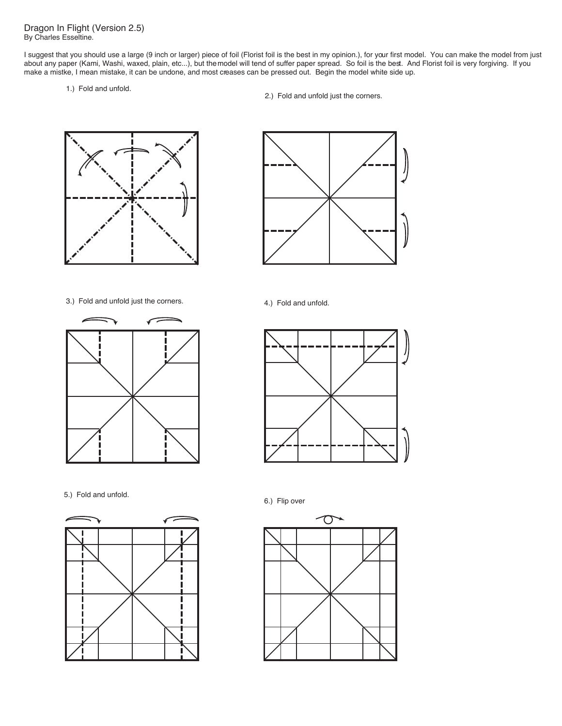Dragon In Flight (Version 2.5) By Charles Esseltine.

I suggest that you should use a large (9 inch or larger) piece of foil (Florist foil is the best in my opinion.), for your first model. You can make the model from just about any paper (Kami, Washi, waxed, plain, etc...), but the model will tend of suffer paper spread. So foil is the best. And Florist foil is very forgiving. If you make a mistke, I mean mistake, it can be undone, and most creases can be pressed out. Begin the model white side up.

1.) Fold and unfold.

2.) Fold and unfold just the corners.







5.) Fold and unfold. 6.) Flip over







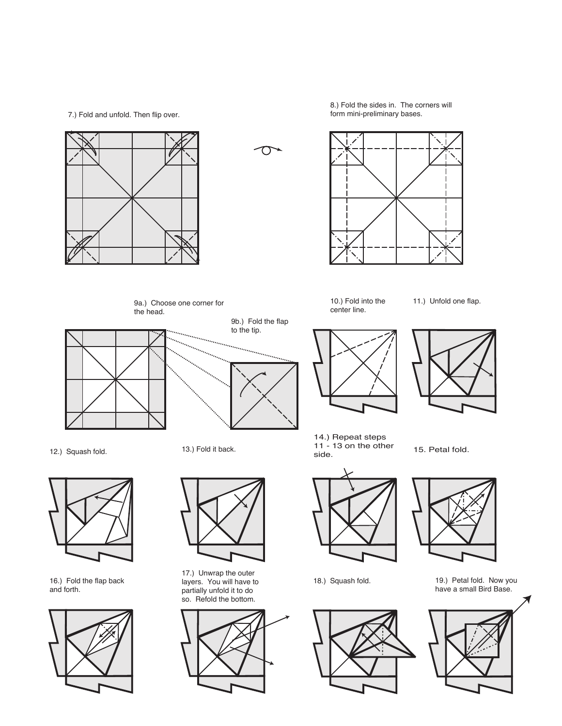7.) Fold and unfold. Then flip over.





9b.) Fold the flap to the tip.

in a col

8.) Fold the sides in. The corners will form mini-preliminary bases.



10.) Fold into the center line.

11.) Unfold one flap.



12.) Squash fold. 13.) Fold it back.



16.) Fold the flap back and forth.



9a.) Choose one corner for

the head.



17.) Unwrap the outer layers. You will have to partially unfold it to do so. Refold the bottom.





14.) Repeat steps 11 - 13 on the other side. 15. Petal fold.



18.) Squash fold.







19.) Petal fold. Now you have a small Bird Base.

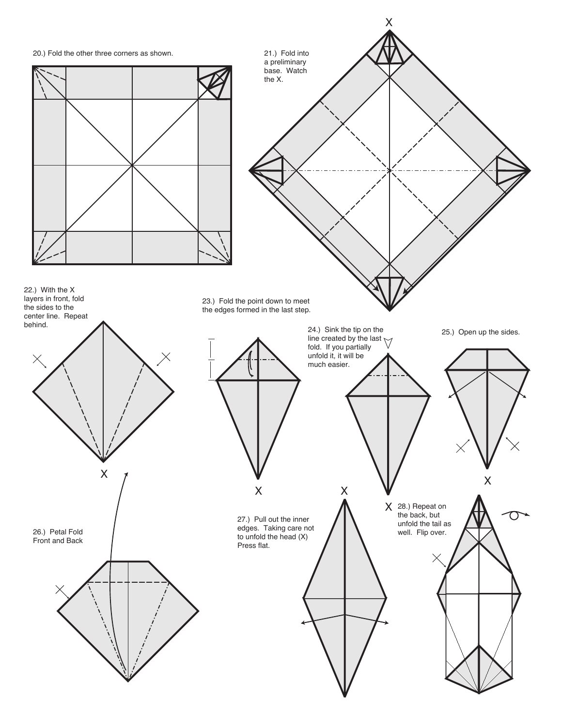

26.) Petal Fold Front and Back

22.) With the X layers in front, fold the sides to the center line. Repeat

behind.

X



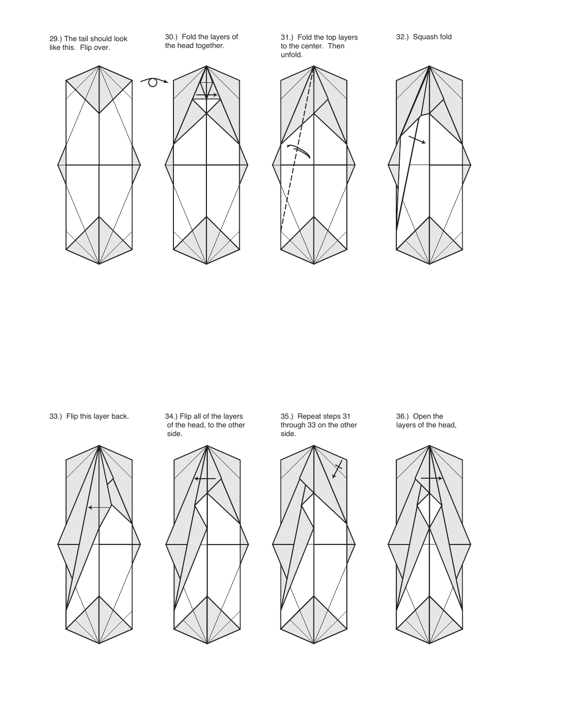29.) The tail should look like this. Flip over.

30.) Fold the layers of the head together.

31.) Fold the top layers to the center. Then unfold.









34.) Flip all of the layers of the head, to the other side. 33.) Flip this layer back. 34.) Flip all of the layers 35.) Repeat steps 31 36.) Open the



35.) Repeat steps 31 through 33 on the other side.



36.) Open the<br>layers of the head,

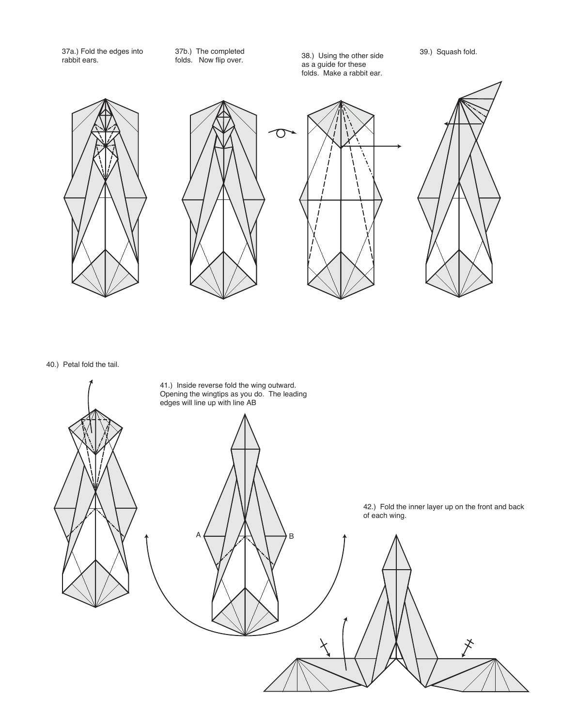37a.) Fold the edges into rabbit ears.

37b.) The completed folds. Now flip over.

38.) Using the other side as a guide for these folds. Make a rabbit ear.

39.) Squash fold.





40.) Petal fold the tail.

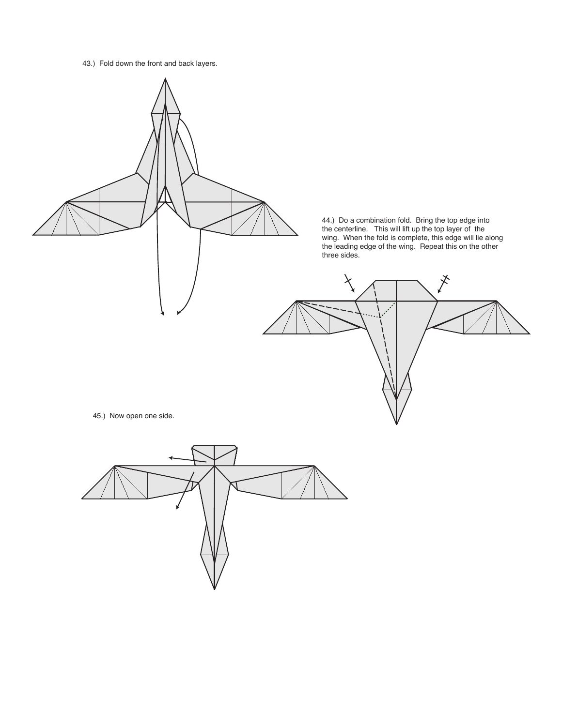43.) Fold down the front and back layers.

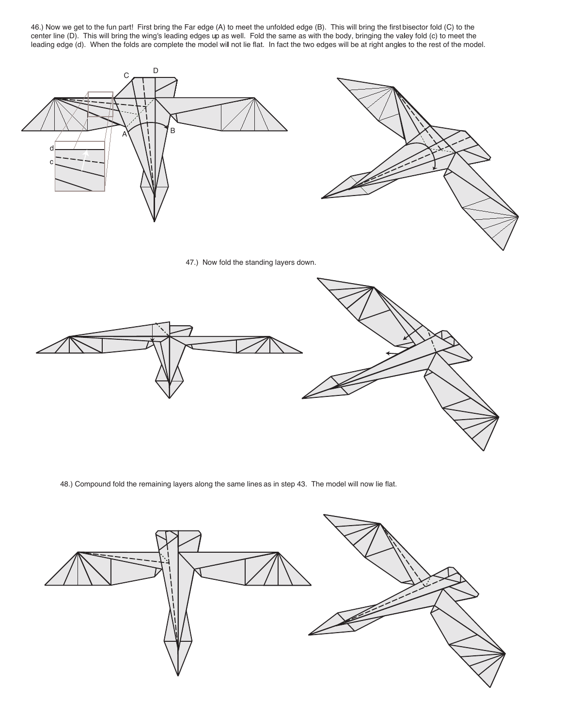46.) Now we get to the fun part! First bring the Far edge (A) to meet the unfolded edge (B). This will bring the first bisector fold (C) to the center line (D). This will bring the wing's leading edges up as well. Fold the same as with the body, bringing the valey fold (c) to meet the leading edge (d). When the folds are complete the model will not lie flat. In fact the two edges will be at right angles to the rest of the model.



47.) Now fold the standing layers down.



48.) Compound fold the remaining layers along the same lines as in step 43. The model will now lie flat.

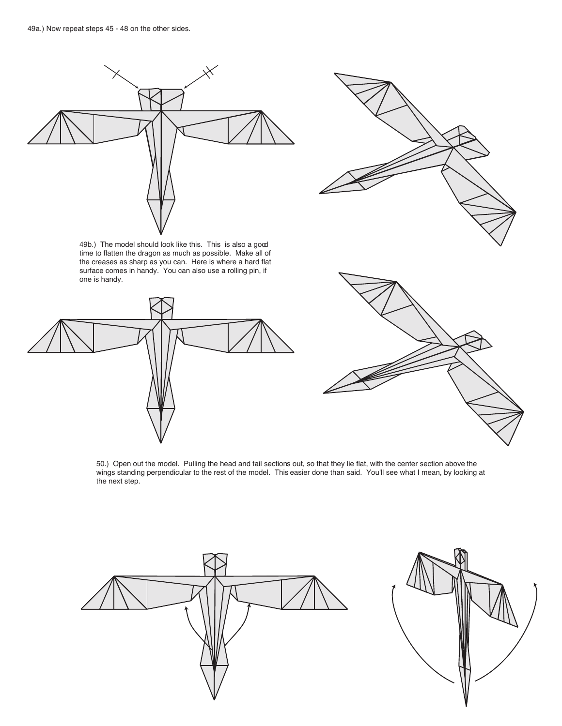

49b.) The model should look like this. This is also a good time to flatten the dragon as much as possible. Make all of the creases as sharp as you can. Here is where a hard flat surface comes in handy. You can also use a rolling pin, if one is handy.





50.) Open out the model. Pulling the head and tail sections out, so that they lie flat, with the center section above the wings standing perpendicular to the rest of the model. This easier done than said. You'll see what I mean, by looking at the next step.

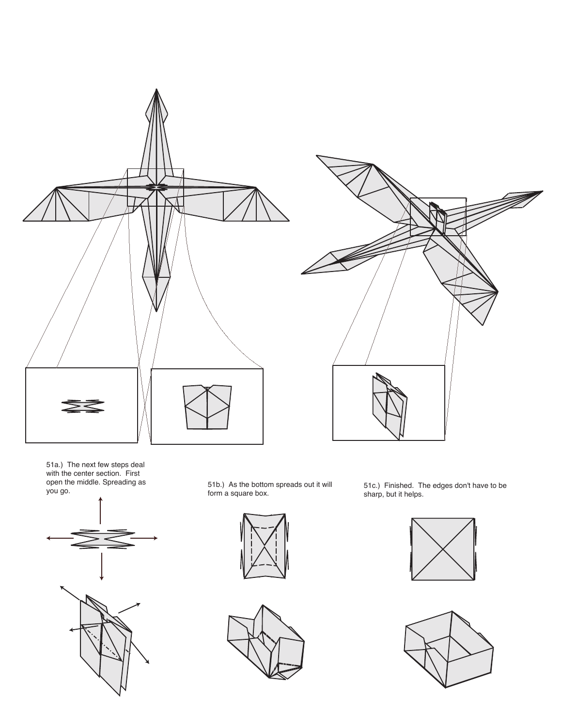



51a.) The next few steps deal with the center section. First open the middle. Spreading as you go.



51b.) As the bottom spreads out it will form a square box.



51c.) Finished. The edges don't have to be sharp, but it helps.



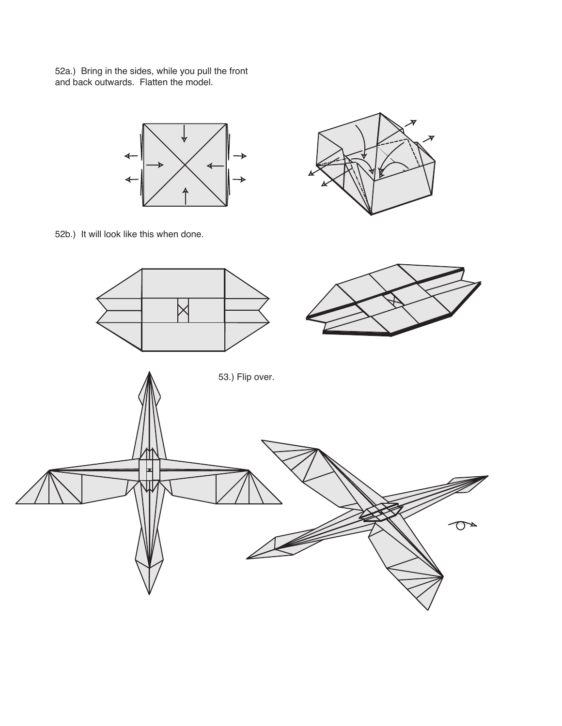52a.) Bring in the sides, while you pull the front and back outwards. Flatten the model.





52b.) It will look like this when done.

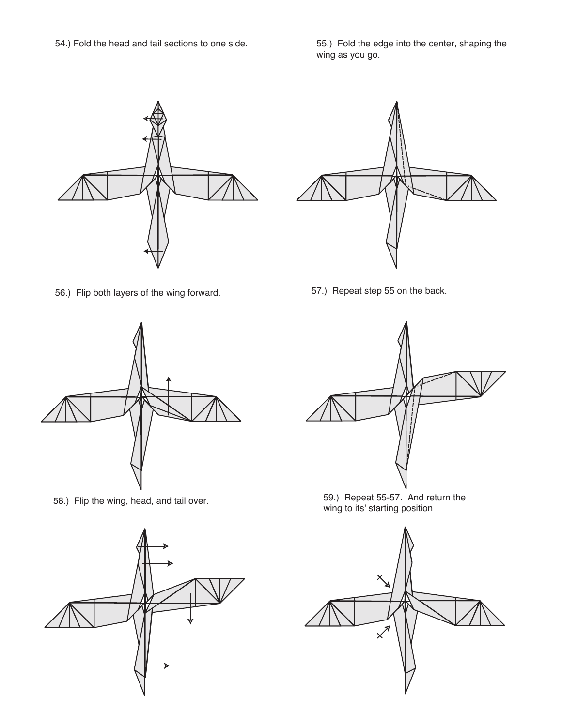54.) Fold the head and tail sections to one side. 55.) Fold the edge into the center, shaping the wing as you go.

56.) Flip both layers of the wing forward. 57.) Repeat step 55 on the back.







58.) Flip the wing, head, and tail over. 59.) Repeat 55-57. And return the wing to its' starting position

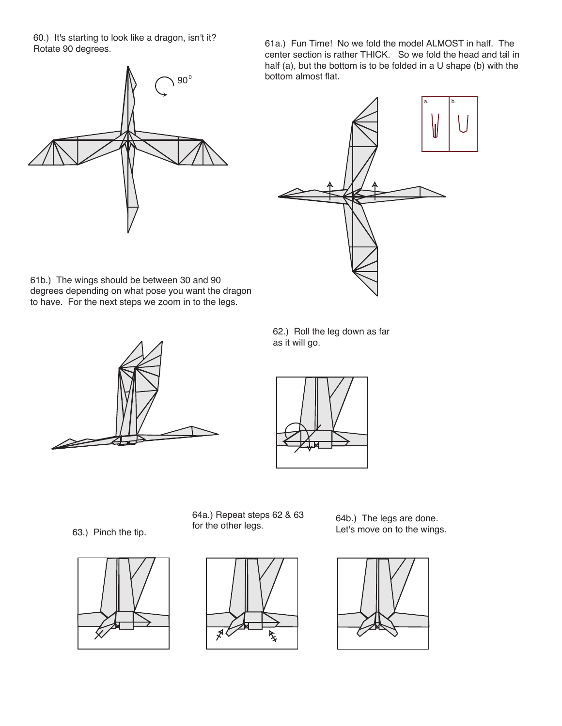60.) It's starting to look like a dragon, isn't it? Rotate 90 degrees.

 $90^{\circ}$ 

61a.) Fun Time! No we fold the model ALMOST in half. The center section is rather THICK. So we fold the head and tail in half (a), but the bottom is to be folded in a U shape (b) with the bottom almost flat.



61b.) The wings should be between 30 and 90 degrees depending on what pose you want the dragon to have. For the next steps we zoom in to the legs.



62.) Roll the leg down as far as it will go.



63.) Pinch the tip.







64b.) The legs are done. Let's move on to the wings.

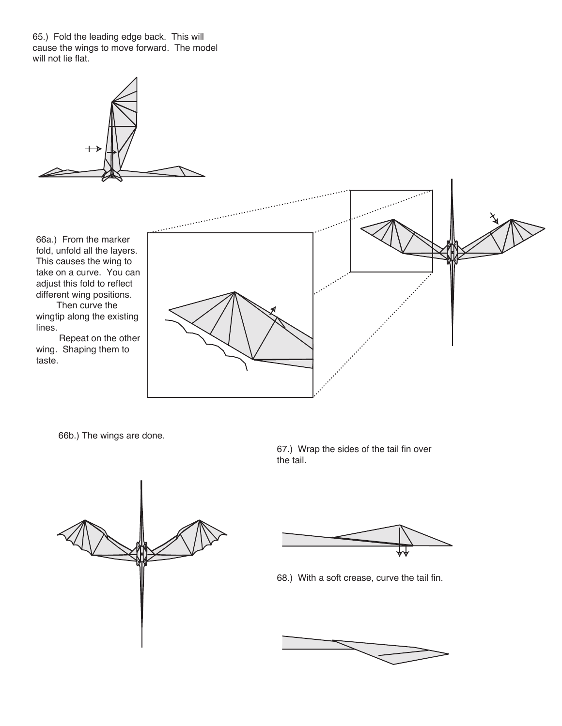65.) Fold the leading edge back. This will cause the wings to move forward. The model will not lie flat.



66a.) From the marker fold, unfold all the layers. This causes the wing to take on a curve. You can adjust this fold to reflect different wing positions.

 Then curve the wingtip along the existing lines.

 Repeat on the other wing. Shaping them to taste.



66b.) The wings are done.

67.) Wrap the sides of the tail fin over the tail.





68.) With a soft crease, curve the tail fin.

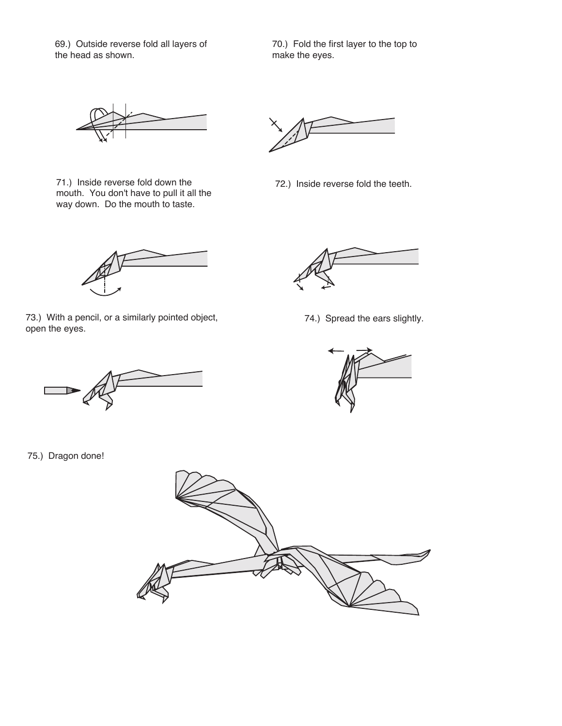69.) Outside reverse fold all layers of the head as shown.

70.) Fold the first layer to the top to make the eyes.



71.) Inside reverse fold down the mouth. You don't have to pull it all the way down. Do the mouth to taste.

72.) Inside reverse fold the teeth.

73.) With a pencil, or a similarly pointed object, open the eyes.

75.) Dragon done!



74.) Spread the ears slightly.



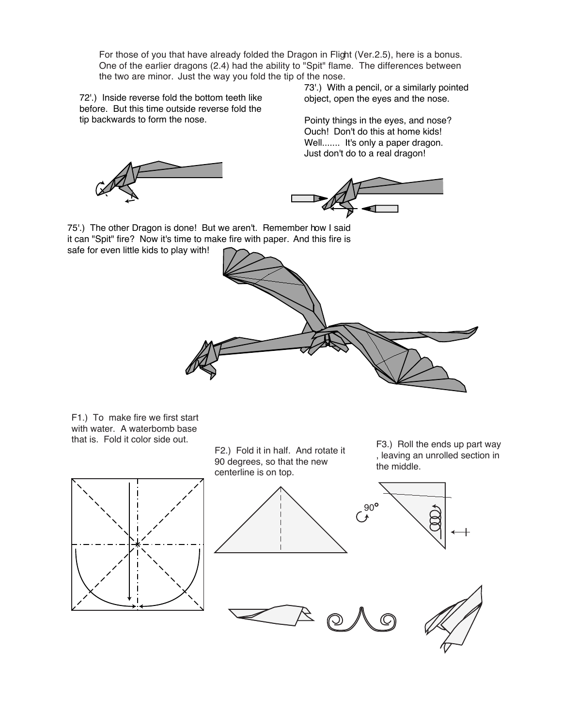For those of you that have already folded the Dragon in Flight (Ver.2.5), here is a bonus. One of the earlier dragons (2.4) had the ability to "Spit" flame. The differences between the two are minor. Just the way you fold the tip of the nose.

72'.) Inside reverse fold the bottom teeth like before. But this time outside reverse fold the tip backwards to form the nose.

73'.) With a pencil, or a similarly pointed object, open the eyes and the nose.

Pointy things in the eyes, and nose? Ouch! Don't do this at home kids! Well....... It's only a paper dragon. Just don't do to a real dragon!





75'.) The other Dragon is done! But we aren't. Remember how I said it can "Spit" fire? Now it's time to make fire with paper. And this fire is safe for even little kids to play with!



F1.) To make fire we first start with water. A waterbomb base that is. Fold it color side out.

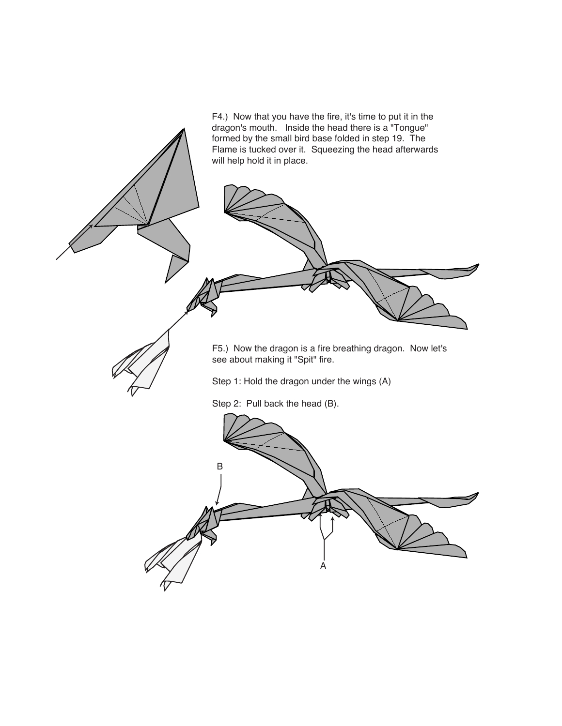